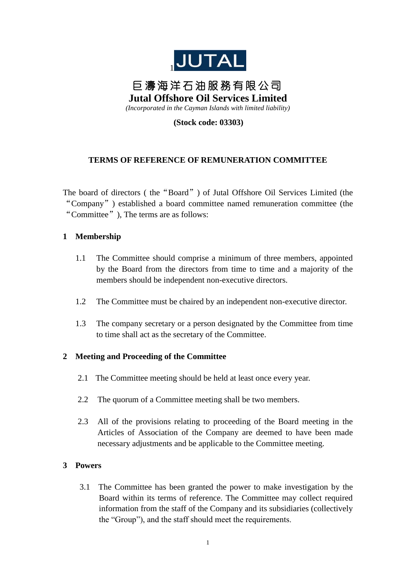

# 巨 濤 海 洋 石 油 服 務 有 限 公 司 **Jutal Offshore Oil Services Limited** *(Incorporated in the Cayman Islands with limited liability)*

**(Stock code: 03303)**

# **TERMS OF REFERENCE OF REMUNERATION COMMITTEE**

The board of directors ( the"Board") of Jutal Offshore Oil Services Limited (the "Company") established a board committee named remuneration committee (the "Committee"), The terms are as follows:

## **1 Membership**

- 1.1 The Committee should comprise a minimum of three members, appointed by the Board from the directors from time to time and a majority of the members should be independent non-executive directors.
- 1.2 The Committee must be chaired by an independent non-executive director.
- 1.3 The company secretary or a person designated by the Committee from time to time shall act as the secretary of the Committee.

### **2 Meeting and Proceeding of the Committee**

- 2.1 The Committee meeting should be held at least once every year.
- 2.2 The quorum of a Committee meeting shall be two members.
- 2.3 All of the provisions relating to proceeding of the Board meeting in the Articles of Association of the Company are deemed to have been made necessary adjustments and be applicable to the Committee meeting.

### **3 Powers**

3.1 The Committee has been granted the power to make investigation by the Board within its terms of reference. The Committee may collect required information from the staff of the Company and its subsidiaries (collectively the "Group"), and the staff should meet the requirements.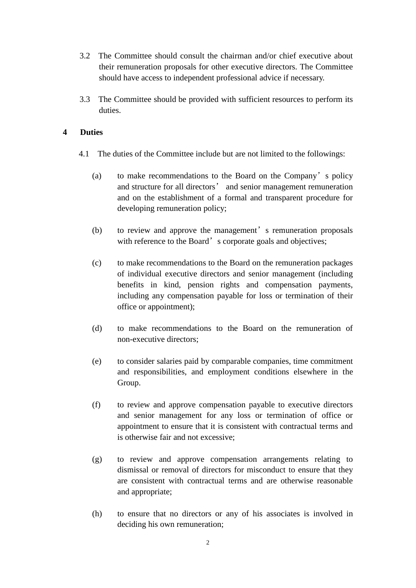- 3.2 The Committee should consult the chairman and/or chief executive about their remuneration proposals for other executive directors. The Committee should have access to independent professional advice if necessary.
- 3.3 The Committee should be provided with sufficient resources to perform its duties.

#### **4 Duties**

- 4.1 The duties of the Committee include but are not limited to the followings:
	- (a) to make recommendations to the Board on the Company's policy and structure for all directors' and senior management remuneration and on the establishment of a formal and transparent procedure for developing remuneration policy;
	- (b) to review and approve the management's remuneration proposals with reference to the Board's corporate goals and objectives;
	- (c) to make recommendations to the Board on the remuneration packages of individual executive directors and senior management (including benefits in kind, pension rights and compensation payments, including any compensation payable for loss or termination of their office or appointment);
	- (d) to make recommendations to the Board on the remuneration of non-executive directors;
	- (e) to consider salaries paid by comparable companies, time commitment and responsibilities, and employment conditions elsewhere in the Group.
	- (f) to review and approve compensation payable to executive directors and senior management for any loss or termination of office or appointment to ensure that it is consistent with contractual terms and is otherwise fair and not excessive;
	- (g) to review and approve compensation arrangements relating to dismissal or removal of directors for misconduct to ensure that they are consistent with contractual terms and are otherwise reasonable and appropriate;
	- (h) to ensure that no directors or any of his associates is involved in deciding his own remuneration;